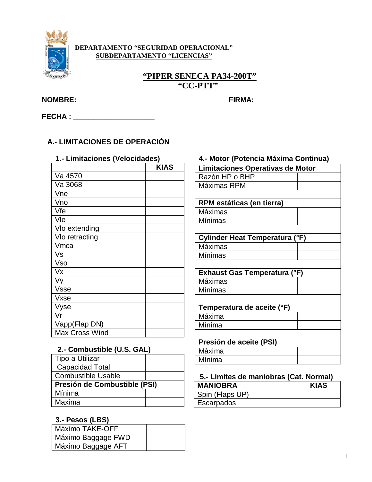

#### DEPARTAMENTO "SEGURIDAD OPERACIONAL" **SUBDEPARTAMENTO "LICENCIAS"**

### "PIPER SENECA PA34-200T" "CC-PTT"

FECHA : \_\_\_\_\_\_\_\_\_\_\_\_\_\_\_\_\_\_\_\_\_

### A.- LIMITACIONES DE OPERACIÓN

|                       | <b>KIAS</b> |
|-----------------------|-------------|
| Va 4570               |             |
| Va 3068               |             |
| Vne                   |             |
| Vno                   |             |
| Vfe                   |             |
| Vle                   |             |
| Vlo extending         |             |
| Vlo retracting        |             |
| Vmca                  |             |
| Vs                    |             |
| Vso                   |             |
| Vx                    |             |
| Vy                    |             |
| <b>Vsse</b>           |             |
| Vxse                  |             |
| Vyse                  |             |
| Vr                    |             |
| Vapp(Flap DN)         |             |
| <b>Max Cross Wind</b> |             |

#### 2.- Combustible (U.S. GAL)

| Tipo a Utilizar              |  |  |
|------------------------------|--|--|
| <b>Capacidad Total</b>       |  |  |
| <b>Combustible Usable</b>    |  |  |
| Presión de Combustible (PSI) |  |  |
| Mínima                       |  |  |
| Maxima                       |  |  |

### 3.- Pesos (LBS)

| Máximo TAKE-OFF    |  |
|--------------------|--|
| Máximo Baggage FWD |  |
| Máximo Baggage AFT |  |

### 1.- Limitaciones (Velocidades) 4.- Motor (Potencia Máxima Continua)

| Limitaciones Operativas de Motor |  |  |
|----------------------------------|--|--|
| Razón HP o BHP                   |  |  |
| Máximas RPM                      |  |  |
|                                  |  |  |
| RPM estáticas (en tierra)        |  |  |
| Máximas                          |  |  |
| Mínimas                          |  |  |
|                                  |  |  |
| Cylinder Heat Temperatura (°F)   |  |  |
| Máximas                          |  |  |
| Mínimas                          |  |  |
|                                  |  |  |
| Exhaust Gas Temperatura (°F)     |  |  |
| Máximas                          |  |  |
| Mínimas                          |  |  |
|                                  |  |  |
| Temperatura de aceite (°F)       |  |  |
| Máxima                           |  |  |
| Mínima                           |  |  |
|                                  |  |  |
| Presión de aceite (PSI)          |  |  |
| Máxima                           |  |  |
| Mínima                           |  |  |

#### 5.- Limites de maniobras (Cat. Normal) **KIAS MANIOBRA** Spin (Flaps UP) Escarpados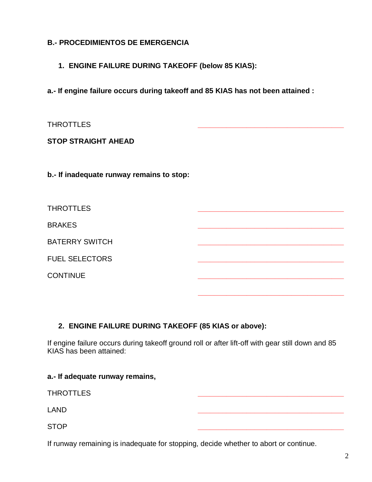#### **B.- PROCEDIMIENTOS DE EMERGENCIA**

**1. ENGINE FAILURE DURING TAKEOFF (below 85 KIAS):**

**a.- If engine failure occurs during takeoff and 85 KIAS has not been attained :**

#### **STOP STRAIGHT AHEAD**

**b.- If inadequate runway remains to stop:**

| <b>THROTTLES</b>      |  |
|-----------------------|--|
| <b>BRAKES</b>         |  |
| <b>BATERRY SWITCH</b> |  |
| <b>FUEL SELECTORS</b> |  |
| <b>CONTINUE</b>       |  |
|                       |  |

#### **2. ENGINE FAILURE DURING TAKEOFF (85 KIAS or above):**

If engine failure occurs during takeoff ground roll or after lift-off with gear still down and 85 KIAS has been attained:

#### **a.- If adequate runway remains,**

THROTTLES **\_\_\_\_\_\_\_\_\_\_\_\_\_\_\_\_\_\_\_\_\_\_\_\_\_\_\_\_\_\_\_\_\_\_\_\_**

LAND **\_\_\_\_\_\_\_\_\_\_\_\_\_\_\_\_\_\_\_\_\_\_\_\_\_\_\_\_\_\_\_\_\_\_\_\_**

STOP **\_\_\_\_\_\_\_\_\_\_\_\_\_\_\_\_\_\_\_\_\_\_\_\_\_\_\_\_\_\_\_\_\_\_\_\_**

If runway remaining is inadequate for stopping, decide whether to abort or continue.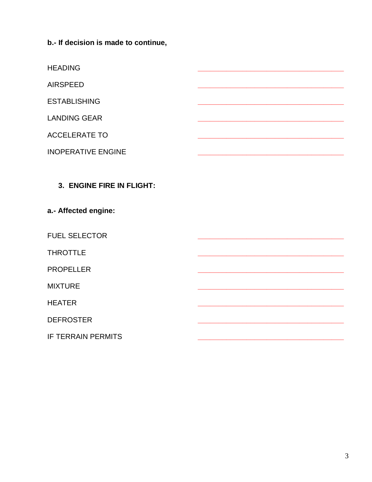b.- If decision is made to continue,

**HEADING** 

**AIRSPEED** 

**ESTABLISHING** 

**LANDING GEAR** 

**ACCELERATE TO** 

**INOPERATIVE ENGINE** 

## 3. ENGINE FIRE IN FLIGHT:

#### a.- Affected engine:

**FUEL SELECTOR** 

**THROTTLE** 

**PROPELLER** 

**MIXTURE** 

**HEATER** 

**DEFROSTER** 

**IF TERRAIN PERMITS**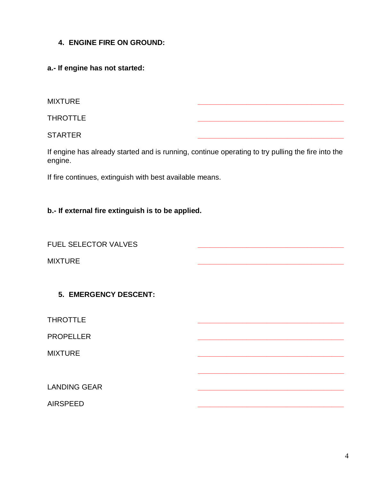**4. ENGINE FIRE ON GROUND:**

**a.- If engine has not started:**

MIXTURE **\_\_\_\_\_\_\_\_\_\_\_\_\_\_\_\_\_\_\_\_\_\_\_\_\_\_\_\_\_\_\_\_\_\_\_\_**

THROTTLE **\_\_\_\_\_\_\_\_\_\_\_\_\_\_\_\_\_\_\_\_\_\_\_\_\_\_\_\_\_\_\_\_\_\_\_\_**

STARTER **\_\_\_\_\_\_\_\_\_\_\_\_\_\_\_\_\_\_\_\_\_\_\_\_\_\_\_\_\_\_\_\_\_\_\_\_**

If engine has already started and is running, continue operating to try pulling the fire into the engine.

If fire continues, extinguish with best available means.

#### **b.- If external fire extinguish is to be applied.**

**FUEL SELECTOR VALVES** 

MIXTURE **\_\_\_\_\_\_\_\_\_\_\_\_\_\_\_\_\_\_\_\_\_\_\_\_\_\_\_\_\_\_\_\_\_\_\_\_**

**5. EMERGENCY DESCENT:**

THROTTLE **\_\_\_\_\_\_\_\_\_\_\_\_\_\_\_\_\_\_\_\_\_\_\_\_\_\_\_\_\_\_\_\_\_\_\_\_**

PROPELLER **\_\_\_\_\_\_\_\_\_\_\_\_\_\_\_\_\_\_\_\_\_\_\_\_\_\_\_\_\_\_\_\_\_\_\_\_**

MIXTURE **\_\_\_\_\_\_\_\_\_\_\_\_\_\_\_\_\_\_\_\_\_\_\_\_\_\_\_\_\_\_\_\_\_\_\_\_**

LANDING GEAR **\_\_\_\_\_\_\_\_\_\_\_\_\_\_\_\_\_\_\_\_\_\_\_\_\_\_\_\_\_\_\_\_\_\_\_\_**

AIRSPEED **\_\_\_\_\_\_\_\_\_\_\_\_\_\_\_\_\_\_\_\_\_\_\_\_\_\_\_\_\_\_\_\_\_\_\_\_**

**\_\_\_\_\_\_\_\_\_\_\_\_\_\_\_\_\_\_\_\_\_\_\_\_\_\_\_\_\_\_\_\_\_\_\_\_**